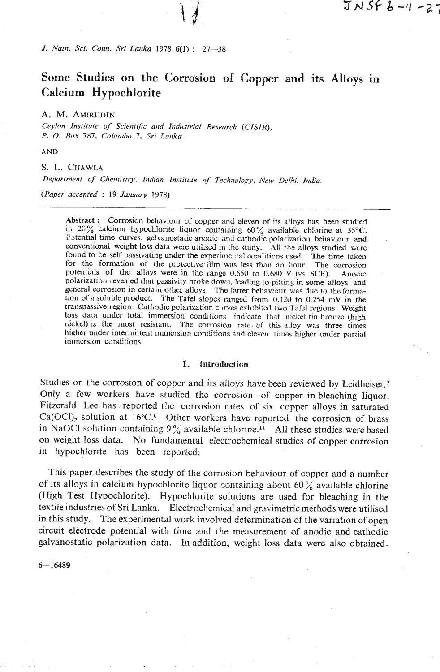*J. Natn. Sci. Coun. Sri Lanka* 1978 **6(1)** : **27-38** 

# **Some Studies on the Corrosion of Copper and its Alloys in Calcium Hypochlorite**

**A.** M. **AMIRUDIN** 

*Ceylon Instifate* **of** *Scientific and Industrial Research (CISIR), P. O. Box 787, Colombo 7, Sri Lanka.* 

**AND** 

S. L. CHAWLA

*Departtnent of Chemi~try, Indian Institirte* **oj** *Technology, New Delhi. India.* 

*(Paper accepted* : *19 January* 1978)

Abstract : Corrosicn behaviour of copper and eleven of its alloys has been studied in 20% calcium hypochlorite liquor containing  $60\%$  available chlorine at 35°C. Potential time curves. galvanostatic anodic and cathodic polarization behaviour and conventional weight loss data were utilised in the study. All the alloys studied were found to be self passivating under the experimental conditions used. The time taken for the formation of the protective film was less than an hour. The corrosion potentials of the alloys were in the range 0.650 to 0.680 V (vs SCE). Anodic polarization revealed that passivity broke down, leading to pitting in some alloys and general corrosion in certain other alloys. The latter behaviour was due to the formation of a solilbie product. The Tafel slopes ranged from **0.120** to 0.254 **mV** in the transpassive region. Cathodic pelarization curves exhibited two Tafel regions. Weight loss data under total immersion conditions indicate that nickel tin bronze (high nickel) is the most resistant. The corrosion rate. **of** this alloy was three times higher under intermittent immersion conditions and eleven times higher under partial immersion conditions.

#### **1.** Introduction

Studies on the corrosion of copper and its alloys have been reviewed by Leidheiser.7 Only a few workers have studied the corrosion of copper in bleaching liquor. Fitzerald Lee has reported the corrosion rates of six copper alloys in saturated  $Ca(OCl)_2$  solution at 16°C.<sup>6</sup> Other workers have reported the corrosion of brass in NaOCl solution containing  $9\%$  available chlorine.<sup>11</sup> All these studies were based on weight loss data. No fundamental electrochemical studies of copper corrosion in hypochlorite has been reported;

This paper, describes the study of the corrosion behaviour of copper and a number of its alloys in calcium hypochlorite liquor containing about 60% available chlorine (High Test Hypochlorite). Hypochlorite solutions are used for bleaching in the textile industries of Sri Lanka. Electrochemical and gravimetric methods were utilised in this study. The experimental work involved determination of the variation of open circuit electrode potential with time and the measurement of anodic and cathodic galvanostatic polarization data. In addition, weight loss data were also obtained.

 $6 - 16489$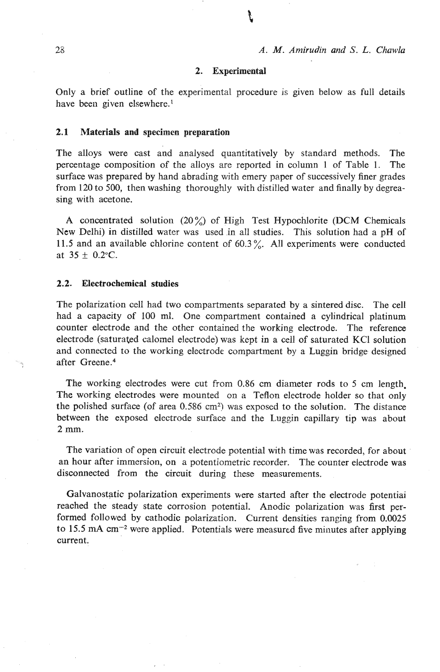#### 2. Experimental

Only a brief outline of the experimental procedure is given below as full details have been given elsewhere.'

#### **2.1** Materials and specimen preparation

The alloys were cast and analysed quantitatively by standard methods. The percentage composition of the alloys are reported in column 1 of Table 1. The surface was prepared by hand abrading with emery paper of successively finer grades from 120 to 500, then washing thoroughly with distilled water and finally by degreasing with acetone.

A concentrated solution  $(20\%)$  of High Test Hypochlorite (DCM Chemicals New Delhi) in distilled water was used in all studies. This solution had a pH of 11.5 and an available chlorine content of 60.3%. All experiments were conducted at  $35 \pm 0.2$  °C.

# 2.2. Electrochemical studies

The polarization cell had two compartments separated by a sintered disc. The cell had a capacity of 100 ml. One compartment contained a cylindrical platinum counter electrode and the other contained the working electrode. The reference electrode (saturated caloinel electrode) was kept in a cell of saturated **KC1** solution and connected to the working electrode compartment by a Luggin bridge-designed after Greene.<sup>4</sup>

The working electrodes were cut from 0.86 cm diameter rods to 5 cm length. The working electrodes were mounted on a Teflon electrode holder so that only the polished surface (of area 0.586 **an2)** was exposed to the solution. The distance between the exposed electrode surface and the Luggin capillary tip was about **2** mm.

The variation of open circuit electrode potential with time was recorded, for about . an hour after immersion, on a potentiometric recorder. The counter electrode was disconnected from the circuit during these measurements.

Galvanostatic polarization experiments were started after the electrode potentiai reached the steady state corrosion potential. Anodic polarization was first performed followed by cathodic polarization. Current densities ranging from 0.0025 to 15.5  *were applied. Potentials were measured five minutes after applying* current.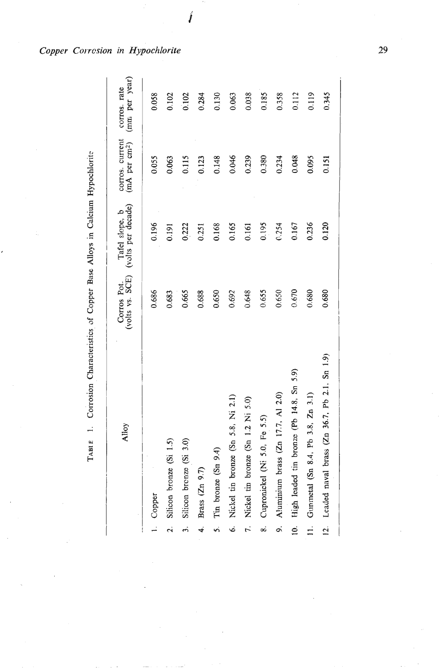**TABI** E 1. Corrosion Characteristics **af** Copper Base Alloys in Calcium Hypochiorit: **Y 2**  TABLE 1. Corrosion Characteristics of Copper Base Alloys in Calcium Hypochlorite

|                | Alloy                                            | (volts vs. SCE)<br>Corros Pot. | (volts per decade)<br>Tafel slope, b | corros. current<br>(mA per cm <sup>2</sup> ) | (mm per year)<br>corros. rate |
|----------------|--------------------------------------------------|--------------------------------|--------------------------------------|----------------------------------------------|-------------------------------|
|                | 1. Copper                                        | 0.686                          | 0.196                                | 0.055                                        | 0.058                         |
| $\overline{a}$ | Silicon bronze (Si 1.5)                          | 0.683                          | 0.191                                | 0.063                                        | 0.102                         |
| 3.             | Silicon brenze (Si 3.0)                          | 0.665                          | 0,222                                | 0.115                                        | 0.102                         |
| $\ddot{ }$     | Brass (Zn 9.7)                                   | 0.688                          | 0.251                                | 0.123                                        | 0.284                         |
| s.             | Tin bronze (Sn 9.4)                              | 0.650                          | 0.168                                | 0.148                                        | 0.130                         |
|                | 6. Nickel tin bronze (Sn 5.8, Ni 2.1)            | 0.692                          | 0.165                                | 0.046                                        | 0.063                         |
|                | 7. Nickel tin bronze (Sn 1.2 Ni 5.0)             | 0.648                          | 0.161                                | 0.239                                        | 0.038                         |
| တဲ             | Cupronickel (Ni 5.0, Fe 5.5)                     | 0.655                          | 0.195                                | 0.380                                        | 0.185                         |
| o.             | Aluminium brass (Zn 17.7, Al 2.0)                | 0.650                          | 0.254                                | 0.234                                        | 0.358                         |
| <u>ୁ</u>       | High leaded tin bronze (Pb 14.8, Sn 5.9)         | 0.670                          | 0.167                                | 0.048                                        | 0.112                         |
|                | 11. Gunmetal (Sn 8.4, Pb 3.8, Zn 3.1)            | 0.680                          | 0.236                                | 0.095                                        | 0.119                         |
|                | 12. Leaded naval brass (Zn 36.7, Pb 2.1, Sn 1.9) | 0.680                          | 0.120                                | 0.151                                        | 0.345                         |
|                |                                                  |                                |                                      |                                              |                               |

-..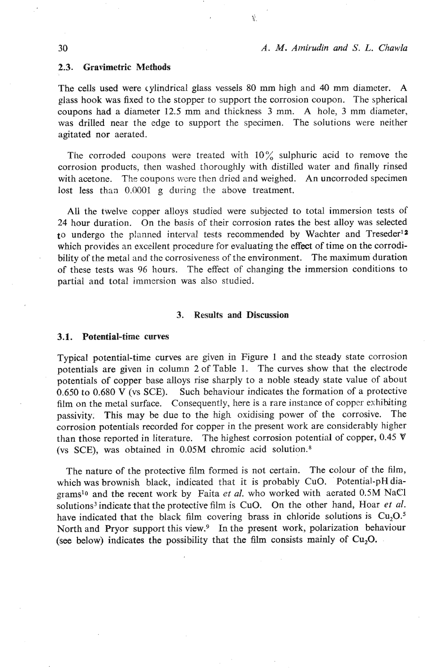# *A. M. Alnirudin and S. L. Chawla*

#### **2.3.** Gravimetric Methods

The cells used were cylindrical glass vessels 80 **mm** high and 40 mm diameter. **A**  glass hook was fixed to the stopper lo support the corrosion coupon. The spherical coupons had a diameter 12.5 mm and thickness **3** mm. **A** hole, **3** mm diameter, was drilled near the edge to support the specimen. The solutions were neither agitated nor aerated.

뢒.

The corroded coupons were treated with  $10\%$  sulphuric acid to remove the corrosion products, then washed thoroughly with distilled water and finally rinsed with acetone. The coupons were then dried and weighed. An uncorroded specimen lost less than 0.0001 g during the above treatment.

All the twelve copper alloys studied were subjected to total immersion tests of 24 hour duration. On the basis of their corrosion rates the best alloy was selected to undergo the planned interval tests recommended by Wachter and Treseder<sup>12</sup> which provides an excellent procedure for evaluating the effect of time on the corrodibility of the metal and the corrosiveness of the environment. The maximum duration of these tests was 96 hours. The effect of changing the immersion conditions to partial and total immersion was also studied.

### **3.** Results **and** Discussion

#### 3.1. Potential-time curves

Typical potential-time curves are given in Figure 1 and the steady state corrosion potentials are given in column *2* of Table 1. The curves show that the electrode potentials of copper base alloys rise sharply to a noble steady state value of about 0.650 to 0.680 V (vs SCE). Such behaviour indicates the formation of a protective film on the metal surface. Consequently, here is a rare instance of copper exhibiting passivity. This may be due to the high oxidising power of the corrosive. The corrosion potentials recorded for copper in the present work are considerably higher than those reported in literature. The highest corrosion potential of copper,  $0.45 \text{ V}$ (vs SCE), was obtained in 0.05M chromic acid solution.\*

The nature of the protective film formed is not certain. The colour of the film, which was brownish black, indicated that it is probably CuO. Potential-pH diagramslo and the recent work by Faita **et** *al.* who worked with aerated 0.5M NaCl solutions<sup>3</sup> indicate that the protective film is CuO. On the other hand, Hoar *et al.* have indicated that the black film covering brass in chloride solutions is  $Cu<sub>2</sub>O<sup>5</sup>$ . North and Pryor support this view.<sup>9</sup> In the present work, polarization behaviour (see below) indicates the possibility that the film consists mainly of **Cu,O.** .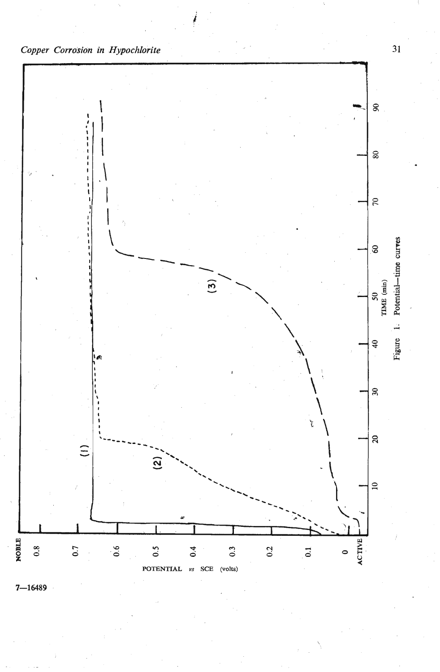



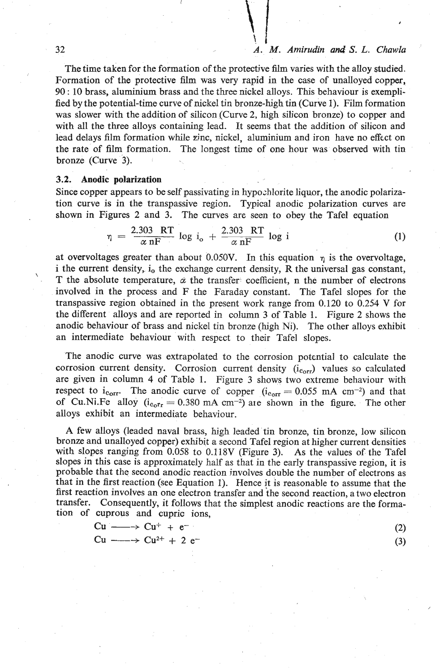# **1.** I 32 *A. M.* **Amirudin and S.** *L. Chawla*

The time taken for the formation of the protective film varies with the alloy studied. Formation of the protective film was very rapid in the case of unalloyed copper, 90 : 10 brass, aluminium brass and the three nickel alloys. This behaviour is exemplified by the potential-time curve of nickel tin bronze-high tin (Curve 1). Film formation was slower with the addition of silicon (Curve **2,** high silicon bronze) to copper and with all the three alloys containing lead. It seems that the addition of silicon and lead delays film formation while zinc, nickel, aluminium and iron have no effect on the rate of film formation. The longest time of one hour was observed with tin bronze (Curve **3).** 

# **3.2. Anodic polarization**

Since copper appears to be self passivating in hypozhlorite liquor, the anodic polarization curve is in the transpassive region. Typical anodic polarization curves are shown in Figures **2** and **3.** The curves are seen to obey the Tafel equation

$$
\eta = \frac{2.303 \text{ RT}}{\alpha \text{ nF}} \log i_{\text{o}} + \frac{2.303 \text{ RT}}{\alpha \text{ nF}} \log i \tag{1}
$$

at overvoltages greater than about 0.050V. In this equation  $\eta$  is the overvoltage, i the current density, i<sub>0</sub> the exchange current density, R the universal gas constant, T the absolute temperature,  $\alpha$  the transfer coefficient, n the number of electrons involved in the process and F the Faraday constant. The Tafel slopes for the transpassive region obtained in the present work range from 0.120 to 0.254 V for the different alloys and are reported in column **3** of Table 1. Figure 2 shows the anodic behaviour of brass and nickel tin bronze (high Ni). The other alloys exhibit an intermediate behaviour with respect to their Tafel slopes.

The anodic curve was extrapolated to the corrosion potential to calculate the corrosion current density. Corrosion current density  $(i_{corr})$  values so calculated are given in column 4 of Table 1. Figure 3 shows two extreme behaviour with respect to i<sub>corr</sub>. The anodic curve of copper  $(i<sub>corr</sub> = 0.055$  mA cm<sup>-2</sup>) and that of Cu.Ni.Fe alloy  $(i_{c_0r_1} = 0.380 \text{ mA cm}^{-2})$  are shown in the figure. The other alloys exhibit an intermediate behaviour.

A few alloys (leaded naval brass, high leaded tin bronze, tin bronze, low silicon bronze and unalloyed copper) exhibit a second Tafel region at higher current densities with slopes ranging from 0.058 to 0.118V (Figure 3). **As** the values of the Tafel slopes in this case is approximately half as that in the early transpassive region, it is probable that the second anodic reaction involves double the number of electrons as that in the first reaction (see Equation 1). Hence it is reasonable to assume that the first reaction involves an one electron transfer and the second reaction, a two electron transfer. Consequently, it follows that the simplest anodic reactions are the formation of cuprous and cupric ions,

| $-$                                  |  |
|--------------------------------------|--|
| $Cu \longrightarrow Cu^{+} + e^{-}$  |  |
| $Cu \longrightarrow Cu^{2+} + 2 e^-$ |  |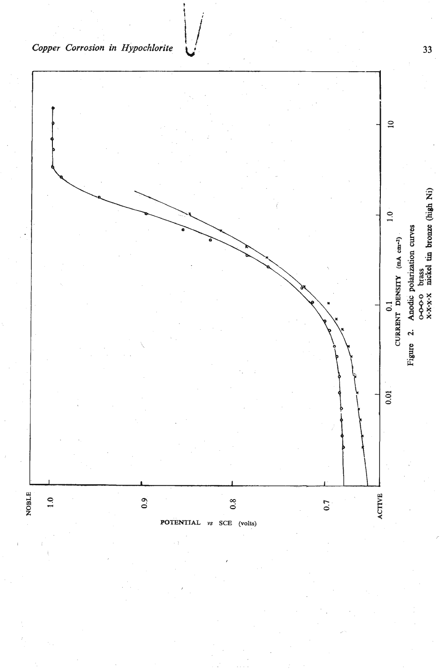

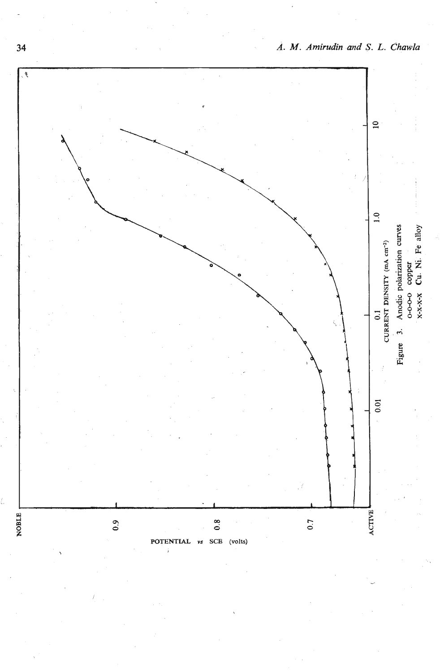

*A.* **M.** *Amirudin and S. L. dhawla*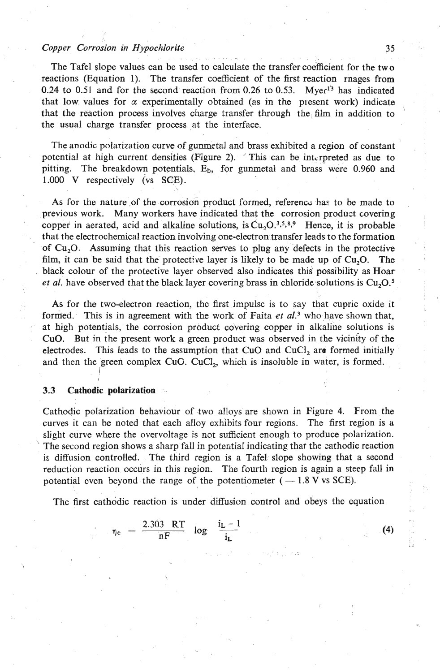# *Copper Corrosion in Hypochlorite 35*

The Tafel \$lope values can be used to calculate the transfer coefficient for the two reactions (Equation 1). The transfer coefficient of the first reaction rnages from 0.24 to 0.51 and for the second reaction from 0.26 to 0.53. Myer<sup>13</sup> has indicated that low values for  $\alpha$  experimentally obtained (as in the present work) indicate that the reaction process involves charge transfer through the **film** in addition to the usual charge transfer process at the interface.

The anodic polarization curve of gunmetal and brass exhibited a region of constant potential at high current densities (Figure 2).  $\check{ }$  This can be interpreted as due to pitting. The breakdown potentials. **Eb,** for gunmetal and brass were 0.960 and 1.000 V respectively (vs SCE).

As for the nature of the corrosion product formed, referencz has to be made to previous work. Many workers have indicated that the corrosion produst covering copper in aerated, acid and alkaline solutions, is  $Cu<sub>2</sub>O<sup>3,5,8,9</sup>$  Hence, it is probable that the electrochemical reaction involving one-electron transfer leads to the formation of Cu,O. Assuming that this reaction serves to plug any defects in the protective film, it can be said that the protective layer is likely to be made up of  $Cu<sub>2</sub>O$ . The black colour of the protective layer observed also indicates **thid** possibility as Hoar *et al.* have observed that the black layer covering brass in chloride solutions is  $Cu, O$ .<sup>5</sup>

As for the two-electron reaction, the first impulse is to say that cupric oxide it formed. This is in agreement with the work of Faita *et aL3* who have shown that, at high potentials, the corrosion product covering copper in alkaline solutions is CuO. But in the present work a green product was observed in the vicinity of the electrodes. This leads to the assumption that CuO and CuCI, are formed initially and then the green complex CuO. CuCl,, which is insoluble in watcr, is formed. I

#### I **3.3 Cathodic polarization**

Cathodic polarization behaviour of two alloys are shown in Figure 4. From-the curves it can be noted that each alloy exhibits four regions. The first region is **a**  slight curve where the overvoltage is not sufficient enough to produce polarization. The second region shows a sharp fall in potential indicating that the cathodic reaction is diffusion controlled. The third region is a Tafel slope showing that a second reduction reaction occurs in this region. The fourth region is again a steep fall **in**  potential even beyond the range of the potentiometer  $(-1.8 \text{ V} \text{ vs } \text{SCE})$ .

The first cathodic reaction is under diffusion control and obeys the equation

$$
\eta_{\rm c} = \frac{2.303 \text{ RT}}{\text{nF}} \log \frac{\text{i}_{\rm L} - 1}{\text{i}_{\rm L}}
$$

 $(4)$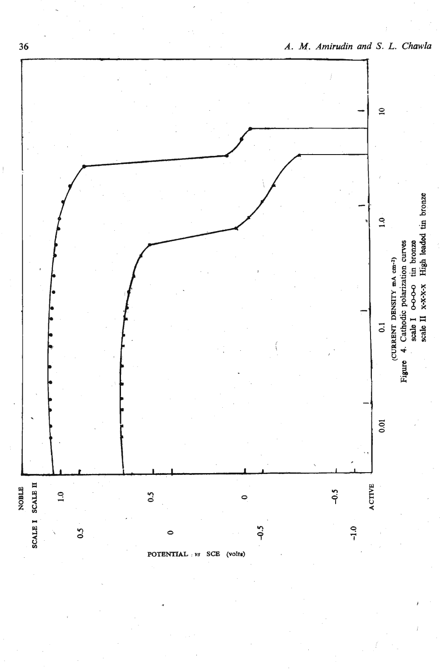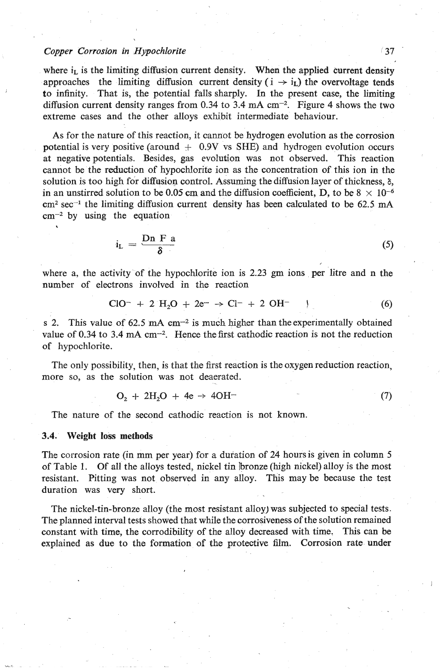# *Copper Corrosion in Hypochlorite* **37**

where  $i_L$  is the limiting diffusion current density. When the applied current density approaches the limiting diffusion current density ( $i \rightarrow i_L$ ) the overvoltage tends to infinity. That is, the potential falls sharply. In the present case, the limiting diffusion current density ranges from 0.34 to 3.4  $mA$  cm<sup>-2</sup>. Figure 4 shows the two extreme cases and the other alloys exhibit intermediate behaviour.

As for the nature of this reaction, it cannot be hydrogen evolution as the corrosion potential is very positive (around  $+$  0.9V vs SHE) and hydrogen evolution occurs at negative potentials. Besides, gas evolution was not observed. This reaction cannot be the reduction of hypochlorite ion as the concentration of this ion in the solution is too high for diffusion control. Assuming the diffusion layer of thickness, 6, in an unstirred solution to be 0.05 cm and the diffusion coefficient, D, to be 8  $\times$  cm<sup>2</sup> sec<sup>-1</sup> the limiting diffusion current density has been calculated to be 62.5 cm<sup>-2</sup> by using the equation<br>  $i_L = \frac{Dn F a}{\delta}$  $cm<sup>2</sup> sec<sup>-1</sup>$  the limiting diffusion current density has been calculated to be 62.5 mA  $cm^{-2}$  by using the equation

$$
i_{\rm L} = \frac{\text{Dn F a}}{\delta} \tag{5}
$$

where a, the activity of the hypochlorite ion is 2.23 **gm** ions **per** litre and n the number of electrons involved in the reaction

$$
ClO^{-} + 2 H_{2}O + 2e^{-} \rightarrow Cl^{-} + 2 OH^{-} \qquad (6)
$$

s 2. This value of 62.5 mA cm<sup>-2</sup> is much higher than the experimentally obtained value of  $0.34$  to  $3.4$  mA  $cm^{-2}$ . Hence the first cathodic reaction is not the reduction of hypochlorite.

The only possibility, then, is that the first reaction is the oxygen reduction reaction, more so, as the solution was not deaerated.

$$
O_2 + 2H_2O + 4e \rightarrow 4OH^-
$$
 (7)

The nature of the second cathodic reaction is not known.

# **3.4. Weight loss methods**

The corrosion rate (in mm per year) for a duration of 24 hoursis given in column 5 of Table 1. Of all the alloys tested, nickel tin bronze (high nickel) alloy is the most resistant. Pitting was not observed in any alloy. This may be because the test duration was very short.

The nickel-tin-bronze alloy (the most resistant alloy) was subjected to special tests. The planned interval tests showed that while the corrosiveness of the solution remained constant with time, the corrodibility of the alloy decreased with time. This can be explained as due to the formation of the protective **film.** Corrosion rate under